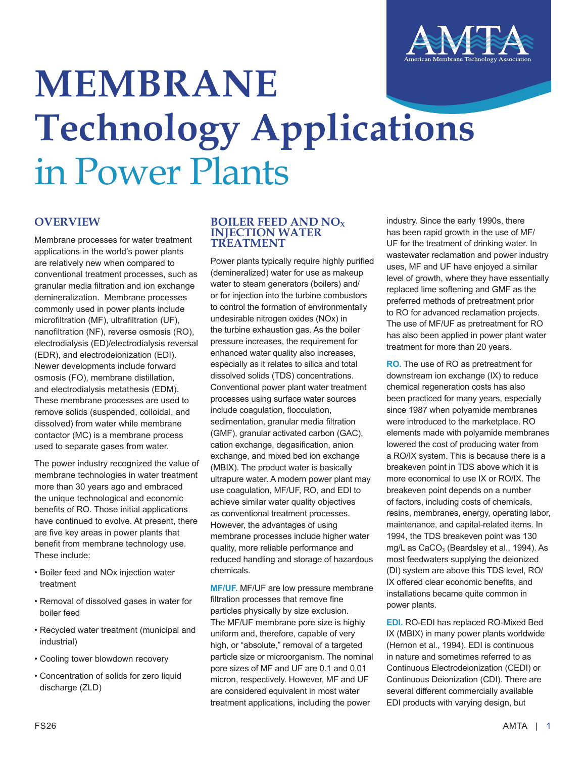

# **MEMBRANE Technology Applications** in Power Plants

# **OVERVIEW**

Membrane processes for water treatment applications in the world's power plants are relatively new when compared to conventional treatment processes, such as granular media filtration and ion exchange demineralization. Membrane processes commonly used in power plants include microfiltration (MF), ultrafiltration (UF), nanofiltration (NF), reverse osmosis (RO), electrodialysis (ED)/electrodialysis reversal (EDR), and electrodeionization (EDI). Newer developments include forward osmosis (FO), membrane distillation, and electrodialysis metathesis (EDM). These membrane processes are used to remove solids (suspended, colloidal, and dissolved) from water while membrane contactor (MC) is a membrane process used to separate gases from water.

The power industry recognized the value of membrane technologies in water treatment more than 30 years ago and embraced the unique technological and economic benefits of RO. Those initial applications have continued to evolve. At present, there are five key areas in power plants that benefit from membrane technology use. These include:

- Boiler feed and NOx injection water treatment
- Removal of dissolved gases in water for boiler feed
- Recycled water treatment (municipal and industrial)
- Cooling tower blowdown recovery
- Concentration of solids for zero liquid discharge (ZLD)

#### **BOILER FEED AND NO<sup>X</sup> INJECTION WATER TREATMENT**

Power plants typically require highly purified (demineralized) water for use as makeup water to steam generators (boilers) and/ or for injection into the turbine combustors to control the formation of environmentally undesirable nitrogen oxides (NOx) in the turbine exhaustion gas. As the boiler pressure increases, the requirement for enhanced water quality also increases, especially as it relates to silica and total dissolved solids (TDS) concentrations. Conventional power plant water treatment processes using surface water sources include coagulation, flocculation, sedimentation, granular media filtration (GMF), granular activated carbon (GAC), cation exchange, degasification, anion exchange, and mixed bed ion exchange (MBIX). The product water is basically ultrapure water. A modern power plant may use coagulation, MF/UF, RO, and EDI to achieve similar water quality objectives as conventional treatment processes. However, the advantages of using membrane processes include higher water quality, more reliable performance and reduced handling and storage of hazardous chemicals.

**MF/UF.** MF/UF are low pressure membrane filtration processes that remove fine particles physically by size exclusion. The MF/UF membrane pore size is highly uniform and, therefore, capable of very high, or "absolute," removal of a targeted particle size or microorganism. The nominal pore sizes of MF and UF are 0.1 and 0.01 micron, respectively. However, MF and UF are considered equivalent in most water treatment applications, including the power

industry. Since the early 1990s, there has been rapid growth in the use of MF/ UF for the treatment of drinking water. In wastewater reclamation and power industry uses, MF and UF have enjoyed a similar level of growth, where they have essentially replaced lime softening and GMF as the preferred methods of pretreatment prior to RO for advanced reclamation projects. The use of MF/UF as pretreatment for RO has also been applied in power plant water treatment for more than 20 years.

**RO.** The use of RO as pretreatment for downstream ion exchange (IX) to reduce chemical regeneration costs has also been practiced for many years, especially since 1987 when polyamide membranes were introduced to the marketplace. RO elements made with polyamide membranes lowered the cost of producing water from a RO/IX system. This is because there is a breakeven point in TDS above which it is more economical to use IX or RO/IX. The breakeven point depends on a number of factors, including costs of chemicals, resins, membranes, energy, operating labor, maintenance, and capital-related items. In 1994, the TDS breakeven point was 130 mg/L as  $CaCO<sub>3</sub>$  (Beardsley et al., 1994). As most feedwaters supplying the deionized (DI) system are above this TDS level, RO/ IX offered clear economic benefits, and installations became quite common in power plants.

**EDI.** RO-EDI has replaced RO-Mixed Bed IX (MBIX) in many power plants worldwide (Hernon et al., 1994). EDI is continuous in nature and sometimes referred to as Continuous Electrodeionization (CEDI) or Continuous Deionization (CDI). There are several different commercially available EDI products with varying design, but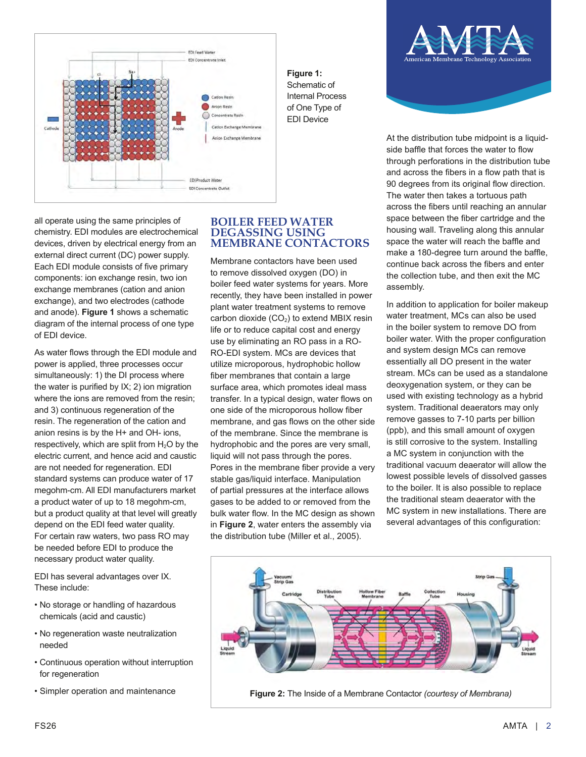

all operate using the same principles of chemistry. EDI modules are electrochemical devices, driven by electrical energy from an external direct current (DC) power supply. Each EDI module consists of five primary components: ion exchange resin, two ion exchange membranes (cation and anion exchange), and two electrodes (cathode and anode). **Figure 1** shows a schematic diagram of the internal process of one type of EDI device.

As water flows through the EDI module and power is applied, three processes occur simultaneously: 1) the DI process where the water is purified by IX; 2) ion migration where the ions are removed from the resin; and 3) continuous regeneration of the resin. The regeneration of the cation and anion resins is by the H+ and OH- ions, respectively, which are split from  $H_2O$  by the electric current, and hence acid and caustic are not needed for regeneration. EDI standard systems can produce water of 17 megohm-cm. All EDI manufacturers market a product water of up to 18 megohm-cm, but a product quality at that level will greatly depend on the EDI feed water quality. For certain raw waters, two pass RO may be needed before EDI to produce the necessary product water quality.

EDI has several advantages over IX. These include:

- No storage or handling of hazardous chemicals (acid and caustic)
- No regeneration waste neutralization needed
- Continuous operation without interruption for regeneration
- Simpler operation and maintenance

### **BOILER FEED WATER DEGASSING USING MEMBRANE CONTACTORS**

Membrane contactors have been used to remove dissolved oxygen (DO) in boiler feed water systems for years. More recently, they have been installed in power plant water treatment systems to remove carbon dioxide  $(CO<sub>2</sub>)$  to extend MBIX resin life or to reduce capital cost and energy use by eliminating an RO pass in a RO-RO-EDI system. MCs are devices that utilize microporous, hydrophobic hollow fiber membranes that contain a large surface area, which promotes ideal mass transfer. In a typical design, water flows on one side of the microporous hollow fiber membrane, and gas flows on the other side of the membrane. Since the membrane is hydrophobic and the pores are very small, liquid will not pass through the pores. Pores in the membrane fiber provide a very stable gas/liquid interface. Manipulation of partial pressures at the interface allows gases to be added to or removed from the bulk water flow. In the MC design as shown in **Figure 2**, water enters the assembly via the distribution tube (Miller et al., 2005).



At the distribution tube midpoint is a liquidside baffle that forces the water to flow through perforations in the distribution tube and across the fibers in a flow path that is 90 degrees from its original flow direction. The water then takes a tortuous path across the fibers until reaching an annular space between the fiber cartridge and the housing wall. Traveling along this annular space the water will reach the baffle and make a 180-degree turn around the baffle, continue back across the fibers and enter the collection tube, and then exit the MC assembly.

In addition to application for boiler makeup water treatment, MCs can also be used in the boiler system to remove DO from boiler water. With the proper configuration and system design MCs can remove essentially all DO present in the water stream. MCs can be used as a standalone deoxygenation system, or they can be used with existing technology as a hybrid system. Traditional deaerators may only remove gasses to 7-10 parts per billion (ppb), and this small amount of oxygen is still corrosive to the system. Installing a MC system in conjunction with the traditional vacuum deaerator will allow the lowest possible levels of dissolved gasses to the boiler. It is also possible to replace the traditional steam deaerator with the MC system in new installations. There are several advantages of this configuration:



**Figure 2:** The Inside of a Membrane Contactor *(courtesy of Membrana)*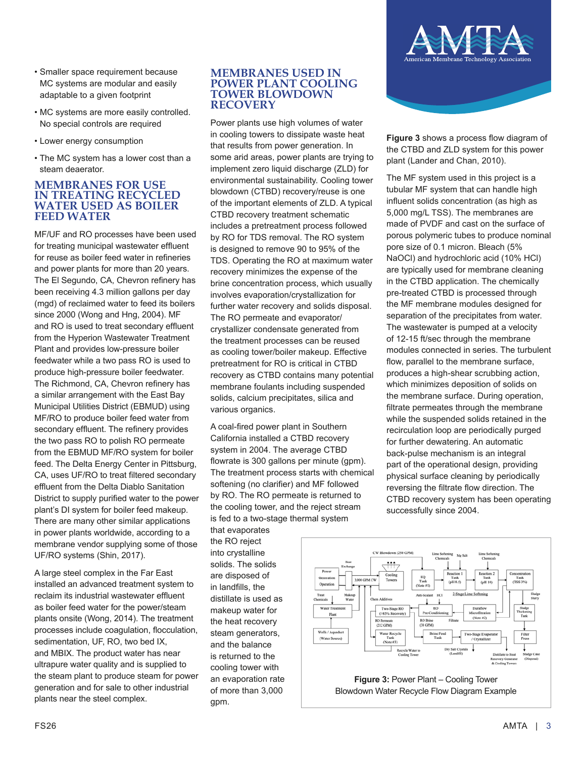- Smaller space requirement because MC systems are modular and easily adaptable to a given footprint
- MC systems are more easily controlled. No special controls are required
- Lower energy consumption
- The MC system has a lower cost than a steam deaerator.

#### **MEMBRANES FOR USE IN TREATING RECYCLED WATER USED AS BOILER FEED WATER**

MF/UF and RO processes have been used for treating municipal wastewater effluent for reuse as boiler feed water in refineries and power plants for more than 20 years. The El Segundo, CA, Chevron refinery has been receiving 4.3 million gallons per day (mgd) of reclaimed water to feed its boilers since 2000 (Wong and Hng, 2004). MF and RO is used to treat secondary effluent from the Hyperion Wastewater Treatment Plant and provides low-pressure boiler feedwater while a two pass RO is used to produce high-pressure boiler feedwater. The Richmond, CA, Chevron refinery has a similar arrangement with the East Bay Municipal Utilities District (EBMUD) using MF/RO to produce boiler feed water from secondary effluent. The refinery provides the two pass RO to polish RO permeate from the EBMUD MF/RO system for boiler feed. The Delta Energy Center in Pittsburg, CA, uses UF/RO to treat filtered secondary effluent from the Delta Diablo Sanitation District to supply purified water to the power plant's DI system for boiler feed makeup. There are many other similar applications in power plants worldwide, according to a membrane vendor supplying some of those UF/RO systems (Shin, 2017).

A large steel complex in the Far East installed an advanced treatment system to reclaim its industrial wastewater effluent as boiler feed water for the power/steam plants onsite (Wong, 2014). The treatment processes include coagulation, flocculation, sedimentation, UF, RO, two bed IX, and MBIX. The product water has near ultrapure water quality and is supplied to the steam plant to produce steam for power generation and for sale to other industrial plants near the steel complex.

#### **MEMBRANES USED IN POWER PLANT COOLING TOWER BLOWDOWN RECOVERY**

Power plants use high volumes of water in cooling towers to dissipate waste heat that results from power generation. In some arid areas, power plants are trying to implement zero liquid discharge (ZLD) for environmental sustainability. Cooling tower blowdown (CTBD) recovery/reuse is one of the important elements of ZLD. A typical CTBD recovery treatment schematic includes a pretreatment process followed by RO for TDS removal. The RO system is designed to remove 90 to 95% of the TDS. Operating the RO at maximum water recovery minimizes the expense of the brine concentration process, which usually involves evaporation/crystallization for further water recovery and solids disposal. The RO permeate and evaporator/ crystallizer condensate generated from the treatment processes can be reused as cooling tower/boiler makeup. Effective pretreatment for RO is critical in CTBD recovery as CTBD contains many potential membrane foulants including suspended solids, calcium precipitates, silica and various organics.

A coal-fired power plant in Southern California installed a CTBD recovery system in 2004. The average CTBD flowrate is 300 gallons per minute (gpm). The treatment process starts with chemical softening (no clarifier) and MF followed by RO. The RO permeate is returned to the cooling tower, and the reject stream is fed to a two-stage thermal system

that evaporates the RO reject into crystalline solids. The solids are disposed of in landfills, the distillate is used as makeup water for the heat recovery steam generators, and the balance is returned to the cooling tower with an evaporation rate of more than 3,000 gpm.



**Figure 3** shows a process flow diagram of the CTBD and ZLD system for this power plant (Lander and Chan, 2010).

The MF system used in this project is a tubular MF system that can handle high influent solids concentration (as high as 5,000 mg/L TSS). The membranes are made of PVDF and cast on the surface of porous polymeric tubes to produce nominal pore size of 0.1 micron. Bleach (5% NaOCl) and hydrochloric acid (10% HCl) are typically used for membrane cleaning in the CTBD application. The chemically pre-treated CTBD is processed through the MF membrane modules designed for separation of the precipitates from water. The wastewater is pumped at a velocity of 12-15 ft/sec through the membrane modules connected in series. The turbulent flow, parallel to the membrane surface, produces a high-shear scrubbing action, which minimizes deposition of solids on the membrane surface. During operation, filtrate permeates through the membrane while the suspended solids retained in the recirculation loop are periodically purged for further dewatering. An automatic back-pulse mechanism is an integral part of the operational design, providing physical surface cleaning by periodically reversing the filtrate flow direction. The CTBD recovery system has been operating successfully since 2004.



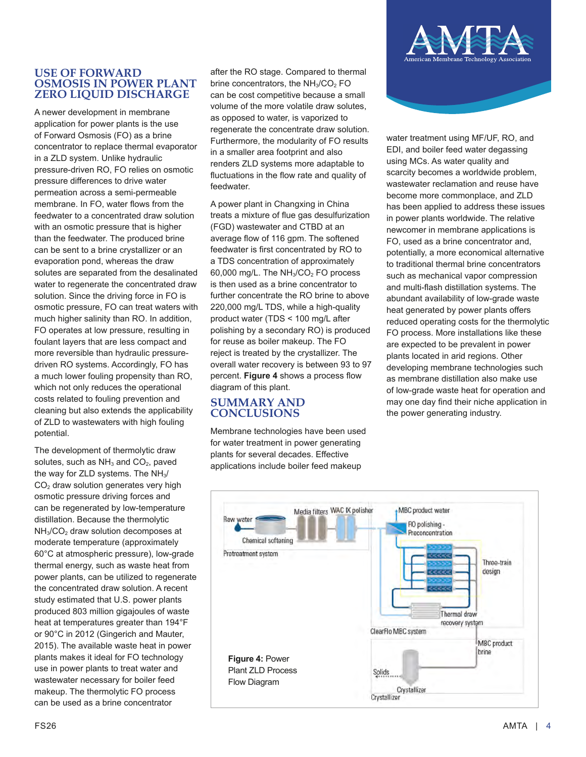## **USE OF FORWARD OSMOSIS IN POWER PLANT ZERO LIQUID DISCHARGE**

A newer development in membrane application for power plants is the use of Forward Osmosis (FO) as a brine concentrator to replace thermal evaporator in a ZLD system. Unlike hydraulic pressure-driven RO, FO relies on osmotic pressure differences to drive water permeation across a semi-permeable membrane. In FO, water flows from the feedwater to a concentrated draw solution with an osmotic pressure that is higher than the feedwater. The produced brine can be sent to a brine crystallizer or an evaporation pond, whereas the draw solutes are separated from the desalinated water to regenerate the concentrated draw solution. Since the driving force in FO is osmotic pressure, FO can treat waters with much higher salinity than RO. In addition, FO operates at low pressure, resulting in foulant layers that are less compact and more reversible than hydraulic pressuredriven RO systems. Accordingly, FO has a much lower fouling propensity than RO, which not only reduces the operational costs related to fouling prevention and cleaning but also extends the applicability of ZLD to wastewaters with high fouling potential.

The development of thermolytic draw solutes, such as  $NH<sub>3</sub>$  and  $CO<sub>2</sub>$ , paved the way for ZLD systems. The NH<sub>3</sub>/  $CO<sub>2</sub>$  draw solution generates very high osmotic pressure driving forces and can be regenerated by low-temperature distillation. Because the thermolytic  $NH<sub>3</sub>/CO<sub>2</sub>$  draw solution decomposes at moderate temperature (approximately 60°C at atmospheric pressure), low-grade thermal energy, such as waste heat from power plants, can be utilized to regenerate the concentrated draw solution. A recent study estimated that U.S. power plants produced 803 million gigajoules of waste heat at temperatures greater than 194°F or 90°C in 2012 (Gingerich and Mauter, 2015). The available waste heat in power plants makes it ideal for FO technology use in power plants to treat water and wastewater necessary for boiler feed makeup. The thermolytic FO process can be used as a brine concentrator

after the RO stage. Compared to thermal brine concentrators, the  $NH<sub>3</sub>/CO<sub>2</sub>$  FO can be cost competitive because a small volume of the more volatile draw solutes, as opposed to water, is vaporized to regenerate the concentrate draw solution. Furthermore, the modularity of FO results in a smaller area footprint and also renders ZLD systems more adaptable to fluctuations in the flow rate and quality of feedwater.

A power plant in Changxing in China treats a mixture of flue gas desulfurization (FGD) wastewater and CTBD at an average flow of 116 gpm. The softened feedwater is first concentrated by RO to a TDS concentration of approximately 60,000 mg/L. The  $NH<sub>3</sub>/CO<sub>2</sub>$  FO process is then used as a brine concentrator to further concentrate the RO brine to above 220,000 mg/L TDS, while a high-quality product water (TDS < 100 mg/L after polishing by a secondary RO) is produced for reuse as boiler makeup. The FO reject is treated by the crystallizer. The overall water recovery is between 93 to 97 percent. **Figure 4** shows a process flow diagram of this plant.

## **SUMMARY AND CONCLUSIONS**

Membrane technologies have been used for water treatment in power generating plants for several decades. Effective applications include boiler feed makeup



water treatment using MF/UF, RO, and EDI, and boiler feed water degassing using MCs. As water quality and scarcity becomes a worldwide problem, wastewater reclamation and reuse have become more commonplace, and ZLD has been applied to address these issues in power plants worldwide. The relative newcomer in membrane applications is FO, used as a brine concentrator and, potentially, a more economical alternative to traditional thermal brine concentrators such as mechanical vapor compression and multi-flash distillation systems. The abundant availability of low-grade waste heat generated by power plants offers reduced operating costs for the thermolytic FO process. More installations like these are expected to be prevalent in power plants located in arid regions. Other developing membrane technologies such as membrane distillation also make use of low-grade waste heat for operation and may one day find their niche application in the power generating industry.